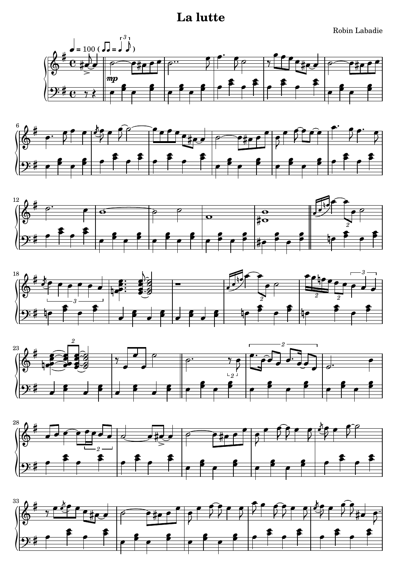## **La lutte**